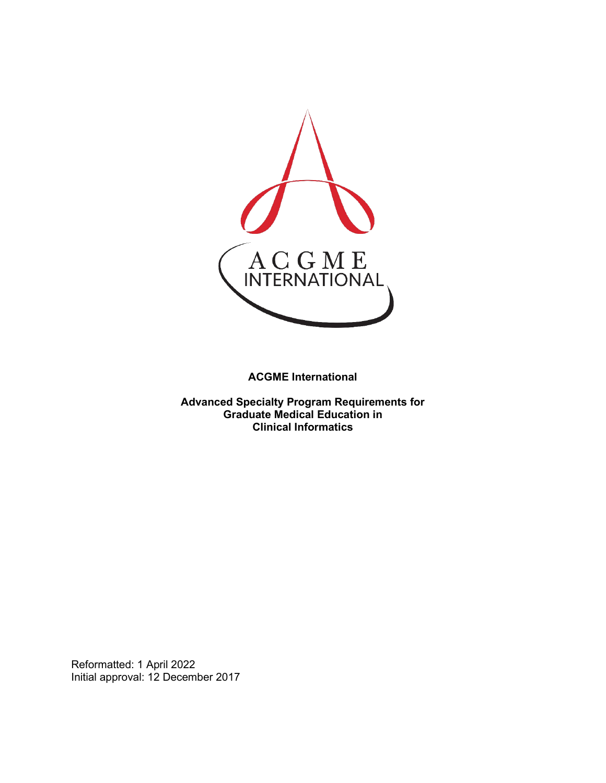

**ACGME International** 

**Advanced Specialty Program Requirements for Graduate Medical Education in Clinical Informatics**

Reformatted: 1 April 2022 Initial approval: 12 December 2017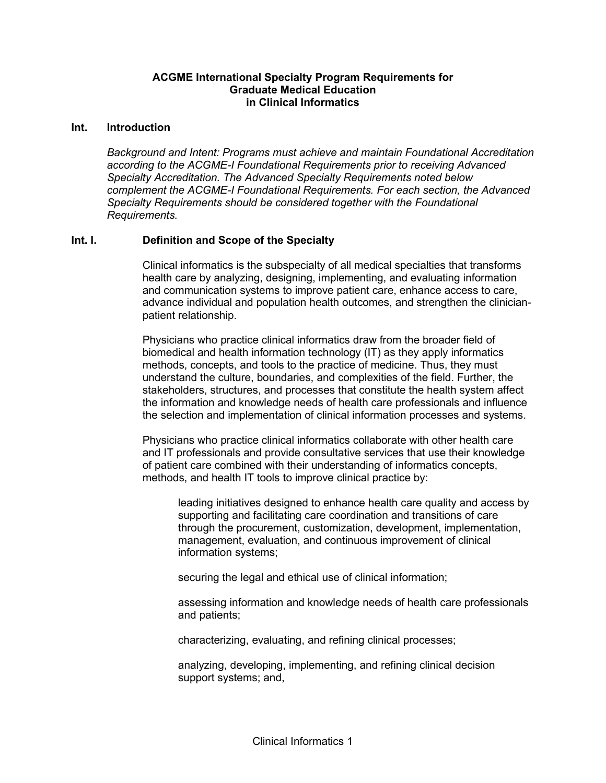### **ACGME International Specialty Program Requirements for Graduate Medical Education in Clinical Informatics**

#### **Int. Introduction**

*Background and Intent: Programs must achieve and maintain Foundational Accreditation according to the ACGME-I Foundational Requirements prior to receiving Advanced Specialty Accreditation. The Advanced Specialty Requirements noted below complement the ACGME-I Foundational Requirements. For each section, the Advanced Specialty Requirements should be considered together with the Foundational Requirements.*

### **Int. I. Definition and Scope of the Specialty**

Clinical informatics is the subspecialty of all medical specialties that transforms health care by analyzing, designing, implementing, and evaluating information and communication systems to improve patient care, enhance access to care, advance individual and population health outcomes, and strengthen the clinicianpatient relationship.

Physicians who practice clinical informatics draw from the broader field of biomedical and health information technology (IT) as they apply informatics methods, concepts, and tools to the practice of medicine. Thus, they must understand the culture, boundaries, and complexities of the field. Further, the stakeholders, structures, and processes that constitute the health system affect the information and knowledge needs of health care professionals and influence the selection and implementation of clinical information processes and systems.

Physicians who practice clinical informatics collaborate with other health care and IT professionals and provide consultative services that use their knowledge of patient care combined with their understanding of informatics concepts, methods, and health IT tools to improve clinical practice by:

leading initiatives designed to enhance health care quality and access by supporting and facilitating care coordination and transitions of care through the procurement, customization, development, implementation, management, evaluation, and continuous improvement of clinical information systems;

securing the legal and ethical use of clinical information;

assessing information and knowledge needs of health care professionals and patients;

characterizing, evaluating, and refining clinical processes;

analyzing, developing, implementing, and refining clinical decision support systems; and,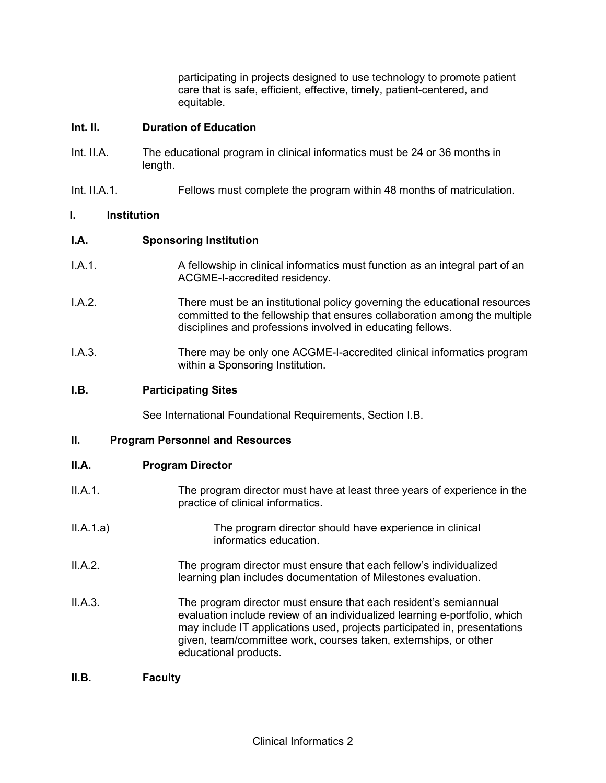participating in projects designed to use technology to promote patient care that is safe, efficient, effective, timely, patient-centered, and equitable.

### **Int. II. Duration of Education**

- Int. II.A. The educational program in clinical informatics must be 24 or 36 months in length.
- Int. II.A.1. Fellows must complete the program within 48 months of matriculation.

### **I. Institution**

## **I.A. Sponsoring Institution**

- I.A.1. A fellowship in clinical informatics must function as an integral part of an ACGME-I-accredited residency.
- I.A.2. There must be an institutional policy governing the educational resources committed to the fellowship that ensures collaboration among the multiple disciplines and professions involved in educating fellows.
- I.A.3. There may be only one ACGME-I-accredited clinical informatics program within a Sponsoring Institution.

### **I.B. Participating Sites**

See International Foundational Requirements, Section I.B.

#### **II. Program Personnel and Resources**

#### **II.A. Program Director**

- II.A.1. The program director must have at least three years of experience in the practice of clinical informatics.
- II.A.1.a) The program director should have experience in clinical informatics education.
- II.A.2. The program director must ensure that each fellow's individualized learning plan includes documentation of Milestones evaluation.
- II.A.3. The program director must ensure that each resident's semiannual evaluation include review of an individualized learning e-portfolio, which may include IT applications used, projects participated in, presentations given, team/committee work, courses taken, externships, or other educational products.

#### **II.B. Faculty**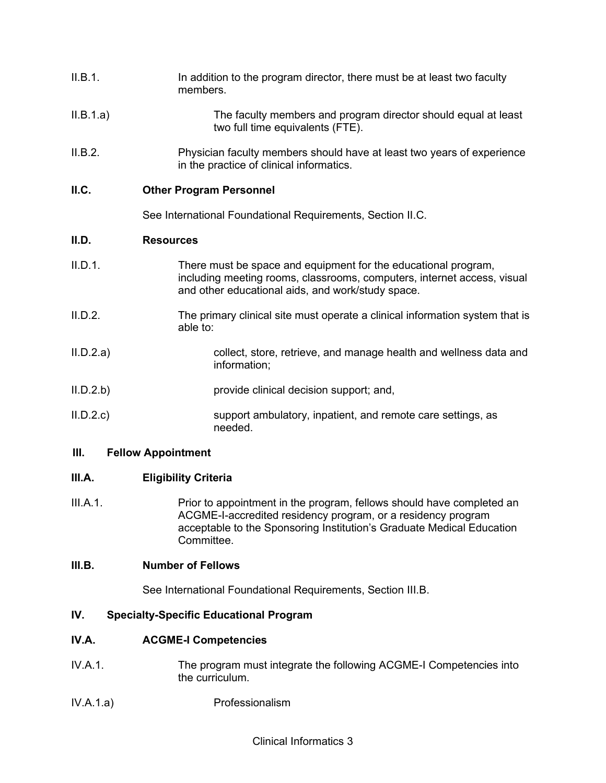| II.B.1.   | In addition to the program director, there must be at least two faculty<br>members.                                                                                                            |  |
|-----------|------------------------------------------------------------------------------------------------------------------------------------------------------------------------------------------------|--|
| II.B.1.a) | The faculty members and program director should equal at least<br>two full time equivalents (FTE).                                                                                             |  |
| II.B.2.   | Physician faculty members should have at least two years of experience<br>in the practice of clinical informatics.                                                                             |  |
| II.C.     | <b>Other Program Personnel</b>                                                                                                                                                                 |  |
|           | See International Foundational Requirements, Section II.C.                                                                                                                                     |  |
| II.D.     | <b>Resources</b>                                                                                                                                                                               |  |
| II.D.1.   | There must be space and equipment for the educational program,<br>including meeting rooms, classrooms, computers, internet access, visual<br>and other educational aids, and work/study space. |  |

- II.D.2. The primary clinical site must operate a clinical information system that is able to:
- II.D.2.a) collect, store, retrieve, and manage health and wellness data and information;
- II.D.2.b) provide clinical decision support; and,
- II.D.2.c) support ambulatory, inpatient, and remote care settings, as needed.

## **III. Fellow Appointment**

# **III.A. Eligibility Criteria**

III.A.1. Prior to appointment in the program, fellows should have completed an ACGME-I-accredited residency program, or a residency program acceptable to the Sponsoring Institution's Graduate Medical Education Committee.

## **III.B. Number of Fellows**

See International Foundational Requirements, Section III.B.

# **IV. Specialty-Specific Educational Program**

# **IV.A. ACGME-I Competencies**

- IV.A.1. The program must integrate the following ACGME-I Competencies into the curriculum.
- IV.A.1.a) Professionalism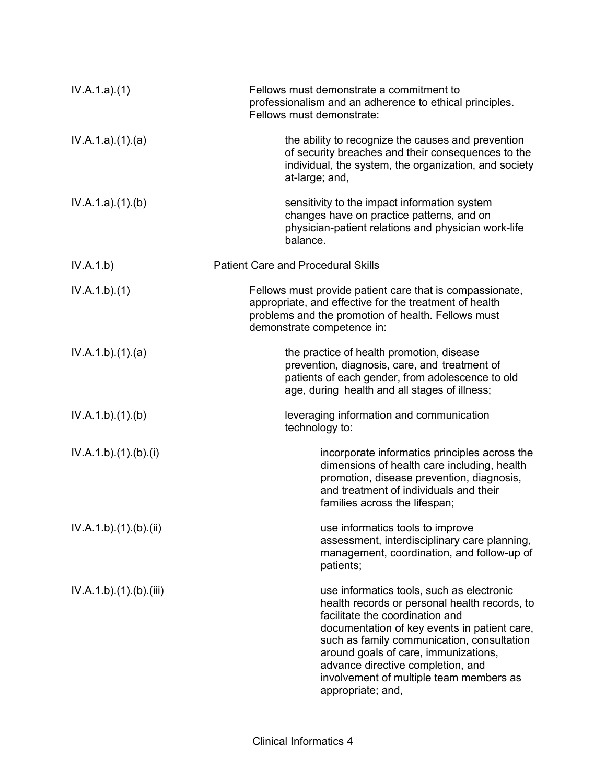| IV.A.1.a)(1)           | Fellows must demonstrate a commitment to<br>professionalism and an adherence to ethical principles.<br>Fellows must demonstrate:                                                                                                                                                                                                                                         |
|------------------------|--------------------------------------------------------------------------------------------------------------------------------------------------------------------------------------------------------------------------------------------------------------------------------------------------------------------------------------------------------------------------|
| IV.A.1.a)(1)(a)        | the ability to recognize the causes and prevention<br>of security breaches and their consequences to the<br>individual, the system, the organization, and society<br>at-large; and,                                                                                                                                                                                      |
| IV.A.1.a)(1)(b)        | sensitivity to the impact information system<br>changes have on practice patterns, and on<br>physician-patient relations and physician work-life<br>balance.                                                                                                                                                                                                             |
| IV.A.1.b)              | <b>Patient Care and Procedural Skills</b>                                                                                                                                                                                                                                                                                                                                |
| IV.A.1.b)(1)           | Fellows must provide patient care that is compassionate,<br>appropriate, and effective for the treatment of health<br>problems and the promotion of health. Fellows must<br>demonstrate competence in:                                                                                                                                                                   |
| IV.A.1.b)(1)(a)        | the practice of health promotion, disease<br>prevention, diagnosis, care, and treatment of<br>patients of each gender, from adolescence to old<br>age, during health and all stages of illness;                                                                                                                                                                          |
| IV.A.1.b)(1)(b)        | leveraging information and communication<br>technology to:                                                                                                                                                                                                                                                                                                               |
| IV.A.1.b)(1)(b)(i)     | incorporate informatics principles across the<br>dimensions of health care including, health<br>promotion, disease prevention, diagnosis,<br>and treatment of individuals and their<br>families across the lifespan;                                                                                                                                                     |
| IV.A.1.b).(1).(b).(ii) | use informatics tools to improve<br>assessment, interdisciplinary care planning,<br>management, coordination, and follow-up of<br>patients;                                                                                                                                                                                                                              |
| IV.A.1.b)(1)(b)(iii)   | use informatics tools, such as electronic<br>health records or personal health records, to<br>facilitate the coordination and<br>documentation of key events in patient care,<br>such as family communication, consultation<br>around goals of care, immunizations,<br>advance directive completion, and<br>involvement of multiple team members as<br>appropriate; and, |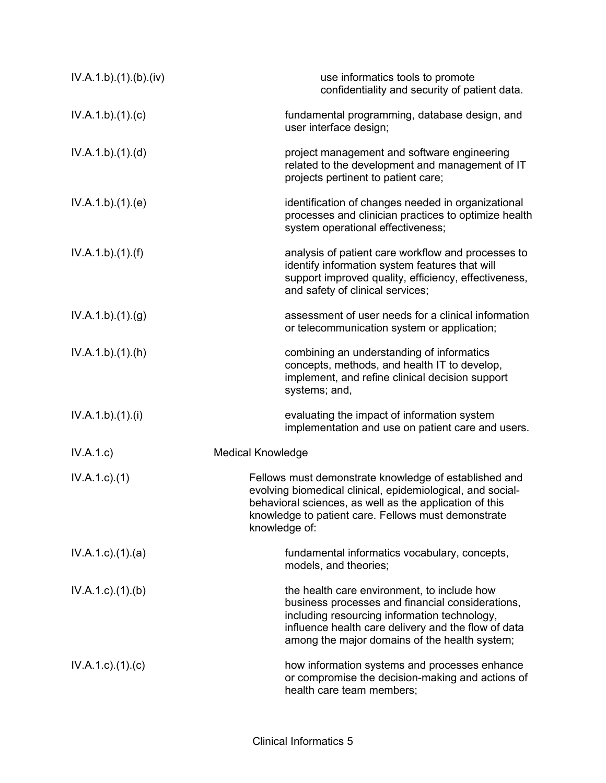| IV.A.1.b)(1)(b)(iv)       | use informatics tools to promote<br>confidentiality and security of patient data.                                                                                                                                                                       |
|---------------------------|---------------------------------------------------------------------------------------------------------------------------------------------------------------------------------------------------------------------------------------------------------|
| IV.A.1.b)(1)(c)           | fundamental programming, database design, and<br>user interface design;                                                                                                                                                                                 |
| IV.A.1.b)(1)(d)           | project management and software engineering<br>related to the development and management of IT<br>projects pertinent to patient care;                                                                                                                   |
| IV.A.1.b)(1)(e)           | identification of changes needed in organizational<br>processes and clinician practices to optimize health<br>system operational effectiveness;                                                                                                         |
| IV.A.1.b)(1)(f)           | analysis of patient care workflow and processes to<br>identify information system features that will<br>support improved quality, efficiency, effectiveness,<br>and safety of clinical services;                                                        |
| IV.A.1.b)(1)(g)           | assessment of user needs for a clinical information<br>or telecommunication system or application;                                                                                                                                                      |
| IV.A.1.b)(1)(h)           | combining an understanding of informatics<br>concepts, methods, and health IT to develop,<br>implement, and refine clinical decision support<br>systems; and,                                                                                           |
| IV.A.1.b)(1)(i)           | evaluating the impact of information system<br>implementation and use on patient care and users.                                                                                                                                                        |
| IV.A.1.c)                 | <b>Medical Knowledge</b>                                                                                                                                                                                                                                |
| $IV.A.1.c.$ (1)           | Fellows must demonstrate knowledge of established and<br>evolving biomedical clinical, epidemiological, and social-<br>behavioral sciences, as well as the application of this<br>knowledge to patient care. Fellows must demonstrate<br>knowledge of:  |
| $IV.A.1.c$ . $(1).$ $(a)$ | fundamental informatics vocabulary, concepts,<br>models, and theories;                                                                                                                                                                                  |
| $IV.A.1.c.$ (1).(b)       | the health care environment, to include how<br>business processes and financial considerations,<br>including resourcing information technology,<br>influence health care delivery and the flow of data<br>among the major domains of the health system; |
| $IV.A.1.c$ ) $(1)(c)$     | how information systems and processes enhance<br>or compromise the decision-making and actions of<br>health care team members;                                                                                                                          |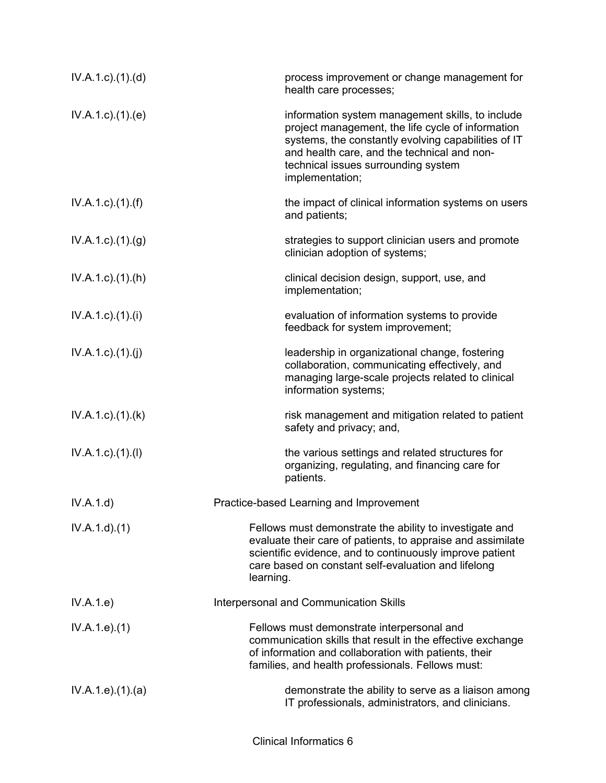| $IV.A.1.c$ . $(1).$ $(d)$ | process improvement or change management for<br>health care processes;                                                                                                                                                                                                |
|---------------------------|-----------------------------------------------------------------------------------------------------------------------------------------------------------------------------------------------------------------------------------------------------------------------|
| IV.A.1.c.1(1).(e)         | information system management skills, to include<br>project management, the life cycle of information<br>systems, the constantly evolving capabilities of IT<br>and health care, and the technical and non-<br>technical issues surrounding system<br>implementation; |
| $IV.A.1.c$ ). $(1).(f)$   | the impact of clinical information systems on users<br>and patients;                                                                                                                                                                                                  |
| IV.A.1.c).(1).(g)         | strategies to support clinician users and promote<br>clinician adoption of systems;                                                                                                                                                                                   |
| $IV.A.1.c$ . $(1).(h)$    | clinical decision design, support, use, and<br>implementation;                                                                                                                                                                                                        |
| $IV.A.1.c$ ). $(1).$      | evaluation of information systems to provide<br>feedback for system improvement;                                                                                                                                                                                      |
| IV.A.1.c)(1)(j)           | leadership in organizational change, fostering<br>collaboration, communicating effectively, and<br>managing large-scale projects related to clinical<br>information systems;                                                                                          |
| $IV.A.1.c$ . $(1).$ $(k)$ | risk management and mitigation related to patient<br>safety and privacy; and,                                                                                                                                                                                         |
| IV.A.1.c)(1)(I)           | the various settings and related structures for<br>organizing, regulating, and financing care for<br>patients.                                                                                                                                                        |
| IV.A.1.d)                 | Practice-based Learning and Improvement                                                                                                                                                                                                                               |
| IV.A.1.d)(1)              | Fellows must demonstrate the ability to investigate and<br>evaluate their care of patients, to appraise and assimilate<br>scientific evidence, and to continuously improve patient<br>care based on constant self-evaluation and lifelong<br>learning.                |
| IV.A.1.e)                 | Interpersonal and Communication Skills                                                                                                                                                                                                                                |
| IV.A.1.e. (1)             | Fellows must demonstrate interpersonal and<br>communication skills that result in the effective exchange<br>of information and collaboration with patients, their<br>families, and health professionals. Fellows must:                                                |
| IV.A.1.e. (1). (a)        | demonstrate the ability to serve as a liaison among<br>IT professionals, administrators, and clinicians.                                                                                                                                                              |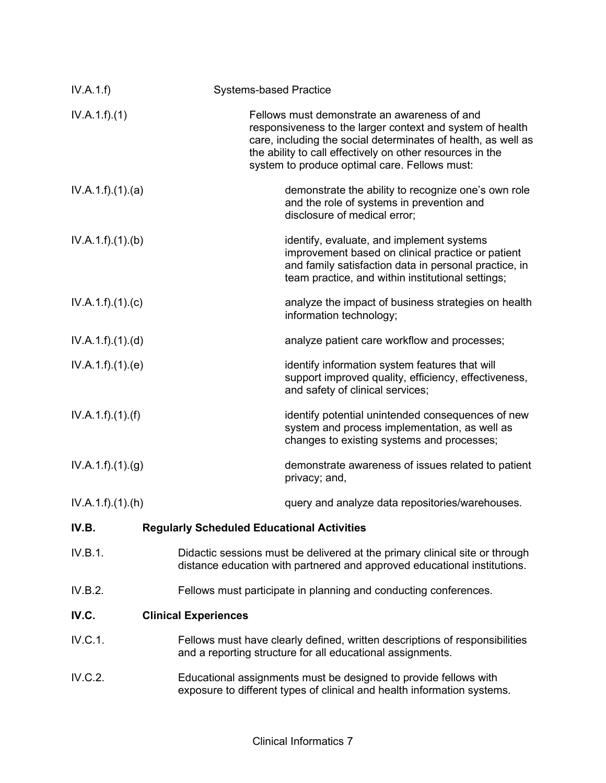| IV.A.1.f)       | <b>Systems-based Practice</b>                                                                                                                                                                                                                                                            |
|-----------------|------------------------------------------------------------------------------------------------------------------------------------------------------------------------------------------------------------------------------------------------------------------------------------------|
| IV.A.1.f)(1)    | Fellows must demonstrate an awareness of and<br>responsiveness to the larger context and system of health<br>care, including the social determinates of health, as well as<br>the ability to call effectively on other resources in the<br>system to produce optimal care. Fellows must: |
| IV.A.1.f)(1)(a) | demonstrate the ability to recognize one's own role<br>and the role of systems in prevention and<br>disclosure of medical error;                                                                                                                                                         |
| IV.A.1.f)(1)(b) | identify, evaluate, and implement systems<br>improvement based on clinical practice or patient<br>and family satisfaction data in personal practice, in<br>team practice, and within institutional settings;                                                                             |
| IV.A.1.f)(1)(c) | analyze the impact of business strategies on health<br>information technology;                                                                                                                                                                                                           |
| IV.A.1.f)(1)(d) | analyze patient care workflow and processes;                                                                                                                                                                                                                                             |
| IV.A.1.f)(1)(e) | identify information system features that will<br>support improved quality, efficiency, effectiveness,<br>and safety of clinical services;                                                                                                                                               |
| IV.A.1.f)(1)(f) | identify potential unintended consequences of new<br>system and process implementation, as well as<br>changes to existing systems and processes;                                                                                                                                         |
| IV.A.1.f)(1)(g) | demonstrate awareness of issues related to patient<br>privacy; and,                                                                                                                                                                                                                      |
| IV.A.1.f)(1)(h) | query and analyze data repositories/warehouses.                                                                                                                                                                                                                                          |
| IV.B.           | <b>Regularly Scheduled Educational Activities</b>                                                                                                                                                                                                                                        |
| IV.B.1.         | Didactic sessions must be delivered at the primary clinical site or through<br>distance education with partnered and approved educational institutions.                                                                                                                                  |
| IV.B.2.         | Fellows must participate in planning and conducting conferences.                                                                                                                                                                                                                         |
| IV.C.           | <b>Clinical Experiences</b>                                                                                                                                                                                                                                                              |
| IV.C.1.         | Fellows must have clearly defined, written descriptions of responsibilities<br>and a reporting structure for all educational assignments.                                                                                                                                                |
| IV.C.2.         | Educational assignments must be designed to provide fellows with<br>exposure to different types of clinical and health information systems.                                                                                                                                              |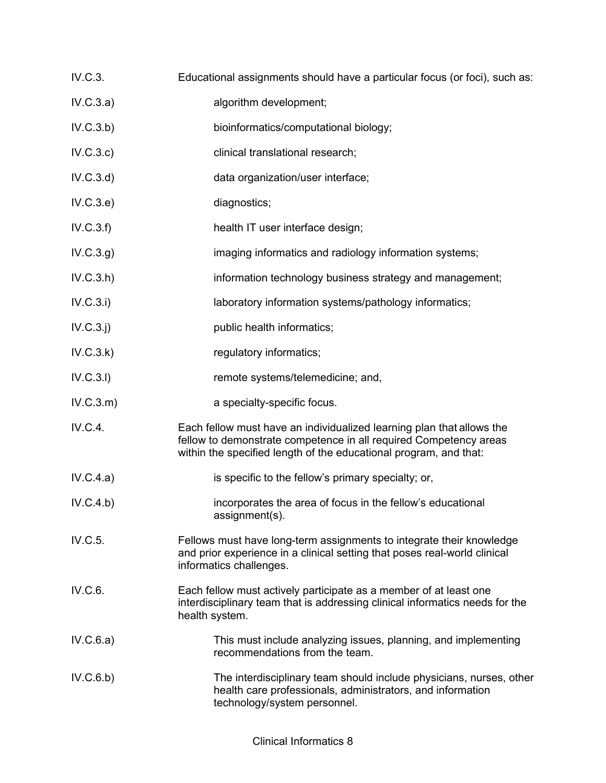- IV.C.3. Educational assignments should have a particular focus (or foci), such as:
- IV.C.3.a) algorithm development;
- IV.C.3.b) bioinformatics/computational biology;
- IV.C.3.c) clinical translational research;
- IV.C.3.d) data organization/user interface;
- IV.C.3.e) diagnostics;
- IV.C.3.f) health IT user interface design;
- IV.C.3.g) imaging informatics and radiology information systems;
- IV.C.3.h) information technology business strategy and management;
- IV.C.3.i) laboratory information systems/pathology informatics;
- IV.C.3.j) public health informatics;
- IV.C.3.k) regulatory informatics;
- IV.C.3.l) remote systems/telemedicine; and,
- IV.C.3.m) a specialty-specific focus.
- IV.C.4. Each fellow must have an individualized learning plan that allows the fellow to demonstrate competence in all required Competency areas within the specified length of the educational program, and that:
- IV.C.4.a) is specific to the fellow's primary specialty; or,
- IV.C.4.b) incorporates the area of focus in the fellow's educational assignment(s).
- IV.C.5. Fellows must have long-term assignments to integrate their knowledge and prior experience in a clinical setting that poses real-world clinical informatics challenges.
- IV.C.6. Each fellow must actively participate as a member of at least one interdisciplinary team that is addressing clinical informatics needs for the health system.
- IV.C.6.a) This must include analyzing issues, planning, and implementing recommendations from the team.
- IV.C.6.b) The interdisciplinary team should include physicians, nurses, other health care professionals, administrators, and information technology/system personnel.